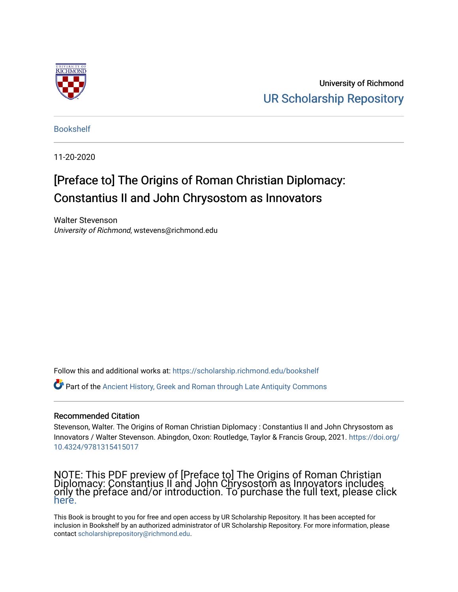

University of Richmond [UR Scholarship Repository](https://scholarship.richmond.edu/) 

[Bookshelf](https://scholarship.richmond.edu/bookshelf) 

11-20-2020

# [Preface to] The Origins of Roman Christian Diplomacy: Constantius II and John Chrysostom as Innovators

Walter Stevenson University of Richmond, wstevens@richmond.edu

Follow this and additional works at: [https://scholarship.richmond.edu/bookshelf](https://scholarship.richmond.edu/bookshelf?utm_source=scholarship.richmond.edu%2Fbookshelf%2F371&utm_medium=PDF&utm_campaign=PDFCoverPages) 

Part of the [Ancient History, Greek and Roman through Late Antiquity Commons](https://network.bepress.com/hgg/discipline/447?utm_source=scholarship.richmond.edu%2Fbookshelf%2F371&utm_medium=PDF&utm_campaign=PDFCoverPages)

### Recommended Citation

Stevenson, Walter. The Origins of Roman Christian Diplomacy : Constantius II and John Chrysostom as Innovators / Walter Stevenson. Abingdon, Oxon: Routledge, Taylor & Francis Group, 2021. [https://doi.org/](https://doi.org/10.4324/9781315415017) [10.4324/9781315415017](https://doi.org/10.4324/9781315415017)

NOTE: This PDF preview of [Preface to] The Origins of Roman Christian Diplomacy: Constantius II and John Chrysostom as Innovators includes only the preface and/or introduction. To purchase the full text, please click [here.](https://www.routledge.com/The-Origins-of-Roman-Christian-Diplomacy-Constantius-II-and-John-Chrysostom/Stevenson/p/book/9781138219465) 

This Book is brought to you for free and open access by UR Scholarship Repository. It has been accepted for inclusion in Bookshelf by an authorized administrator of UR Scholarship Repository. For more information, please contact [scholarshiprepository@richmond.edu](mailto:scholarshiprepository@richmond.edu).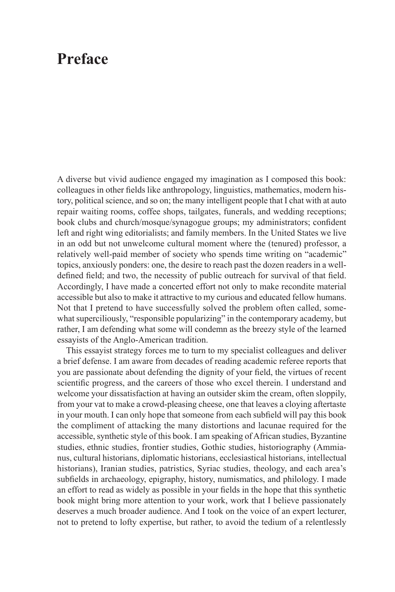## **Preface**

A diverse but vivid audience engaged my imagination as I composed this book: colleagues in other fields like anthropology, linguistics, mathematics, modern history, political science, and so on; the many intelligent people that I chat with at auto repair waiting rooms, coffee shops, tailgates, funerals, and wedding receptions; book clubs and church/mosque/synagogue groups; my administrators; confident left and right wing editorialists; and family members. In the United States we live in an odd but not unwelcome cultural moment where the (tenured) professor, a relatively well-paid member of society who spends time writing on "academic" topics, anxiously ponders: one, the desire to reach past the dozen readers in a welldefined field; and two, the necessity of public outreach for survival of that field. Accordingly, I have made a concerted effort not only to make recondite material accessible but also to make it attractive to my curious and educated fellow humans. Not that I pretend to have successfully solved the problem often called, somewhat superciliously, "responsible popularizing" in the contemporary academy, but rather, I am defending what some will condemn as the breezy style of the learned essayists of the Anglo-American tradition.

This essayist strategy forces me to turn to my specialist colleagues and deliver a brief defense. I am aware from decades of reading academic referee reports that you are passionate about defending the dignity of your field, the virtues of recent scientific progress, and the careers of those who excel therein. I understand and welcome your dissatisfaction at having an outsider skim the cream, often sloppily, from your vat to make a crowd-pleasing cheese, one that leaves a cloying aftertaste in your mouth. I can only hope that someone from each subfield will pay this book the compliment of attacking the many distortions and lacunae required for the accessible, synthetic style of this book. I am speaking of African studies, Byzantine studies, ethnic studies, frontier studies, Gothic studies, historiography (Ammianus, cultural historians, diplomatic historians, ecclesiastical historians, intellectual historians), Iranian studies, patristics, Syriac studies, theology, and each area's subfields in archaeology, epigraphy, history, numismatics, and philology. I made an effort to read as widely as possible in your fields in the hope that this synthetic book might bring more attention to your work, work that I believe passionately deserves a much broader audience. And I took on the voice of an expert lecturer, not to pretend to lofty expertise, but rather, to avoid the tedium of a relentlessly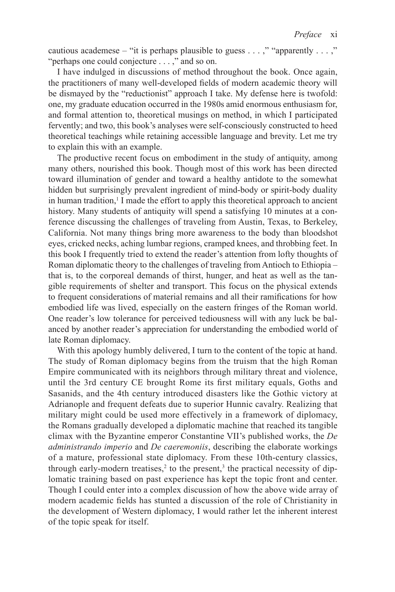cautious academese – "it is perhaps plausible to guess . . . ," "apparently . . . ," "perhaps one could conjecture . . . ," and so on.

I have indulged in discussions of method throughout the book. Once again, the practitioners of many well-developed fields of modern academic theory will be dismayed by the "reductionist" approach I take. My defense here is twofold: one, my graduate education occurred in the 1980s amid enormous enthusiasm for, and formal attention to, theoretical musings on method, in which I participated fervently; and two, this book's analyses were self-consciously constructed to heed theoretical teachings while retaining accessible language and brevity. Let me try to explain this with an example.

The productive recent focus on embodiment in the study of antiquity, among many others, nourished this book. Though most of this work has been directed toward illumination of gender and toward a healthy antidote to the somewhat hidden but surprisingly prevalent ingredient of mind-body or spirit-body duality in human tradition, $1$  I made the effort to apply this theoretical approach to ancient history. Many students of antiquity will spend a satisfying 10 minutes at a conference discussing the challenges of traveling from Austin, Texas, to Berkeley, California. Not many things bring more awareness to the body than bloodshot eyes, cricked necks, aching lumbar regions, cramped knees, and throbbing feet. In this book I frequently tried to extend the reader's attention from lofty thoughts of Roman diplomatic theory to the challenges of traveling from Antioch to Ethiopia – that is, to the corporeal demands of thirst, hunger, and heat as well as the tangible requirements of shelter and transport. This focus on the physical extends to frequent considerations of material remains and all their ramifications for how embodied life was lived, especially on the eastern fringes of the Roman world. One reader's low tolerance for perceived tediousness will with any luck be balanced by another reader's appreciation for understanding the embodied world of late Roman diplomacy.

 until the 3rd century CE brought Rome its first military equals, Goths and modern academic fields has stunted a discussion of the role of Christianity in With this apology humbly delivered. I turn to the content of the topic at hand. The study of Roman diplomacy begins from the truism that the high Roman Empire communicated with its neighbors through military threat and violence, Sasanids, and the 4th century introduced disasters like the Gothic victory at Adrianople and frequent defeats due to superior Hunnic cavalry. Realizing that military might could be used more effectively in a framework of diplomacy, the Romans gradually developed a diplomatic machine that reached its tangible climax with the Byzantine emperor Constantine VII's published works, the *De administrando imperio* and *De caeremoniis*, describing the elaborate workings of a mature, professional state diplomacy. From these 10th-century classics, through early-modern treatises,<sup>2</sup> to the present,<sup>3</sup> the practical necessity of diplomatic training based on past experience has kept the topic front and center. Though I could enter into a complex discussion of how the above wide array of the development of Western diplomacy, I would rather let the inherent interest of the topic speak for itself.